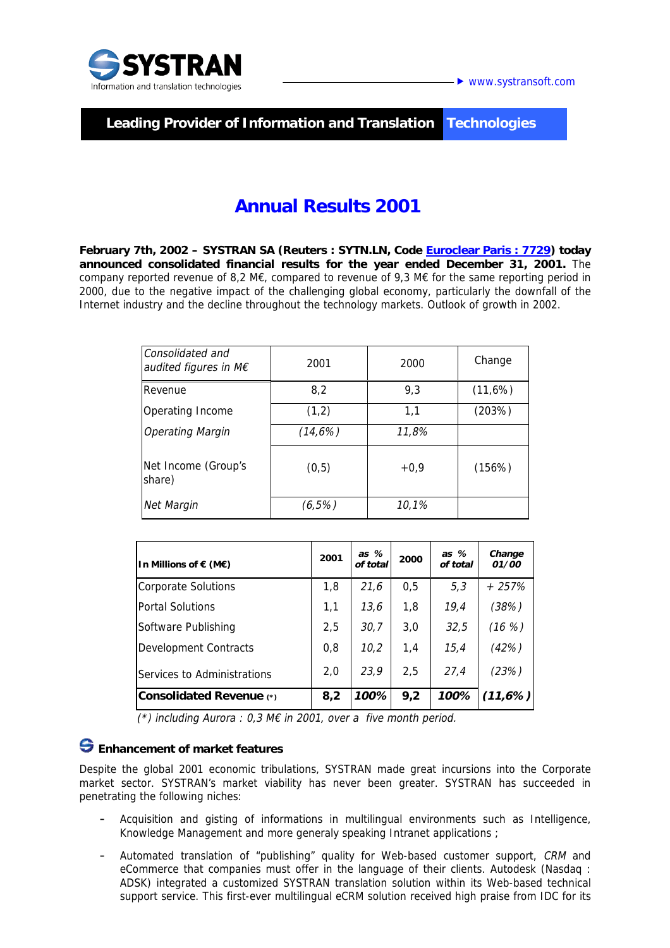

**Leading Provider of Information and Translation\_ Technologies** 

**Annual Results 2001** 

**February 7th, 2002 – SYSTRAN SA (Reuters : SYTN.LN, Code Euroclear Paris : 7729) today announced consolidated financial results for the year ended December 31, 2001.** The company reported revenue of 8,2 M€, compared to revenue of 9,3 M€ for the same reporting period in 2000, due to the negative impact of the challenging global economy, particularly the downfall of the Internet industry and the decline throughout the technology markets. Outlook of growth in 2002.

| Consolidated and<br>audited figures in $M \in$ | 2001    | 2000   | Change  |
|------------------------------------------------|---------|--------|---------|
| lRevenue                                       | 8,2     | 9.3    | (11,6%) |
| Operating Income                               | (1,2)   | 1,1    | (203%)  |
| <b>Operating Margin</b>                        | (14,6%) | 11,8%  |         |
| Net Income (Group's<br>share)                  | (0,5)   | $+0,9$ | (156%)  |
| <b>Net Margin</b>                              | (6,5%)  | 10,1%  |         |

| In Millions of $\in$ (M $\in$ ) | 2001 | as %<br>of total | 2000 | as $%$<br>of total | Change<br>01/00 |
|---------------------------------|------|------------------|------|--------------------|-----------------|
| <b>Corporate Solutions</b>      | 1,8  | 21,6             | 0,5  | 5,3                | $+257%$         |
| Portal Solutions                | 1,1  | 13,6             | 1,8  | 19,4               | (38%)           |
| Software Publishing             | 2,5  | 30,7             | 3,0  | 32,5               | (16%)           |
| Development Contracts           | 0,8  | 10,2             | 1,4  | 15,4               | (42%)           |
| Services to Administrations     | 2,0  | 23,9             | 2,5  | 27,4               | (23%)           |
| Consolidated Revenue (*)        | 8,2  | 100%             | 9,2  | 100%               | (11,6%)         |

 $\overline{(*)}$  including Aurora : 0,3 M€ in 2001, over a five month period.

### **Enhancement of market features**

Despite the global 2001 economic tribulations, SYSTRAN made great incursions into the Corporate market sector. SYSTRAN's market viability has never been greater. SYSTRAN has succeeded in penetrating the following niches:

- Acquisition and gisting of informations in multilingual environments such as Intelligence, Knowledge Management and more generaly speaking Intranet applications ;
- Automated translation of "publishing" quality for Web-based customer support, CRM and eCommerce that companies must offer in the language of their clients. Autodesk (Nasdaq : ADSK) integrated a customized SYSTRAN translation solution within its Web-based technical support service. This first-ever multilingual eCRM solution received high praise from IDC for its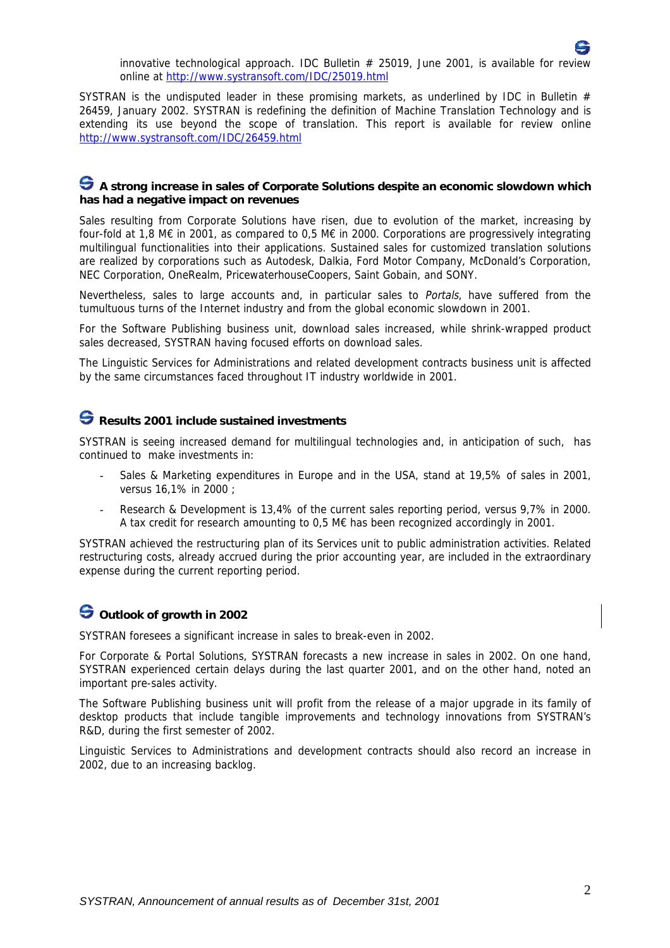innovative technological approach. IDC Bulletin  $#$  25019, June 2001, is available for review online at http://www.systransoft.com/IDC/25019.html

SYSTRAN is the undisputed leader in these promising markets, as underlined by IDC in Bulletin  $#$ 26459, January 2002. SYSTRAN is redefining the definition of Machine Translation Technology and is extending its use beyond the scope of translation. This report is available for review online http://www.systransoft.com/IDC/26459.html

### **A strong increase in sales of Corporate Solutions despite an economic slowdown which has had a negative impact on revenues**

Sales resulting from Corporate Solutions have risen, due to evolution of the market, increasing by four-fold at 1,8 M€ in 2001, as compared to 0,5 M€ in 2000. Corporations are progressively integrating multilingual functionalities into their applications. Sustained sales for customized translation solutions are realized by corporations such as Autodesk, Dalkia, Ford Motor Company, McDonald's Corporation, NEC Corporation, OneRealm, PricewaterhouseCoopers, Saint Gobain, and SONY.

Nevertheless, sales to large accounts and, in particular sales to Portals, have suffered from the tumultuous turns of the Internet industry and from the global economic slowdown in 2001.

For the Software Publishing business unit, download sales increased, while shrink-wrapped product sales decreased, SYSTRAN having focused efforts on download sales.

The Linguistic Services for Administrations and related development contracts business unit is affected by the same circumstances faced throughout IT industry worldwide in 2001.

# **Results 2001 include sustained investments**

SYSTRAN is seeing increased demand for multilingual technologies and, in anticipation of such, has continued to make investments in:

- Sales & Marketing expenditures in Europe and in the USA, stand at 19,5% of sales in 2001, versus 16,1% in 2000 ;
- Research & Development is 13,4% of the current sales reporting period, versus 9,7% in 2000. A tax credit for research amounting to 0,5 M€ has been recognized accordingly in 2001.

SYSTRAN achieved the restructuring plan of its Services unit to public administration activities. Related restructuring costs, already accrued during the prior accounting year, are included in the extraordinary expense during the current reporting period.

## **Outlook of growth in 2002**

SYSTRAN foresees a significant increase in sales to break-even in 2002.

For Corporate & Portal Solutions, SYSTRAN forecasts a new increase in sales in 2002. On one hand, SYSTRAN experienced certain delays during the last quarter 2001, and on the other hand, noted an important pre-sales activity.

The Software Publishing business unit will profit from the release of a major upgrade in its family of desktop products that include tangible improvements and technology innovations from SYSTRAN's R&D, during the first semester of 2002.

Linguistic Services to Administrations and development contracts should also record an increase in 2002, due to an increasing backlog.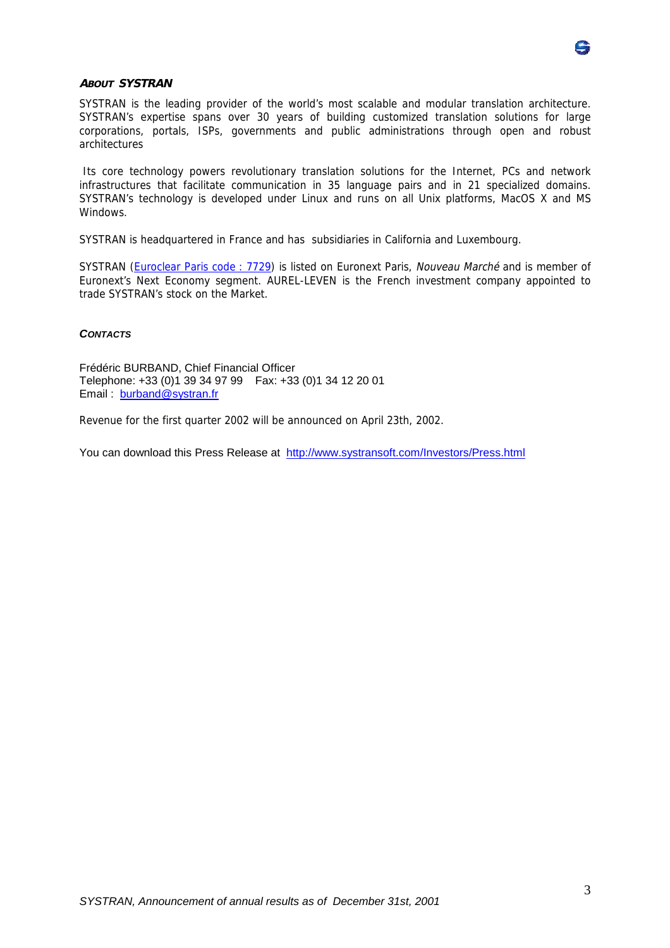

### **ABOUT SYSTRAN**

SYSTRAN is the leading provider of the world's most scalable and modular translation architecture. SYSTRAN's expertise spans over 30 years of building customized translation solutions for large corporations, portals, ISPs, governments and public administrations through open and robust architectures

 Its core technology powers revolutionary translation solutions for the Internet, PCs and network infrastructures that facilitate communication in 35 language pairs and in 21 specialized domains. SYSTRAN's technology is developed under Linux and runs on all Unix platforms, MacOS X and MS Windows.

SYSTRAN is headquartered in France and has subsidiaries in California and Luxembourg.

SYSTRAN (Euroclear Paris code : 7729) is listed on Euronext Paris, Nouveau Marché and is member of Euronext's Next Economy segment. AUREL-LEVEN is the French investment company appointed to trade SYSTRAN's stock on the Market.

### *CONTACTS*

Frédéric BURBAND, Chief Financial Officer Telephone: +33 (0)1 39 34 97 99 Fax: +33 (0)1 34 12 20 01 Email : burband@systran.fr

Revenue for the first quarter 2002 will be announced on April 23th, 2002.

You can download this Press Release at http://www.systransoft.com/Investors/Press.html